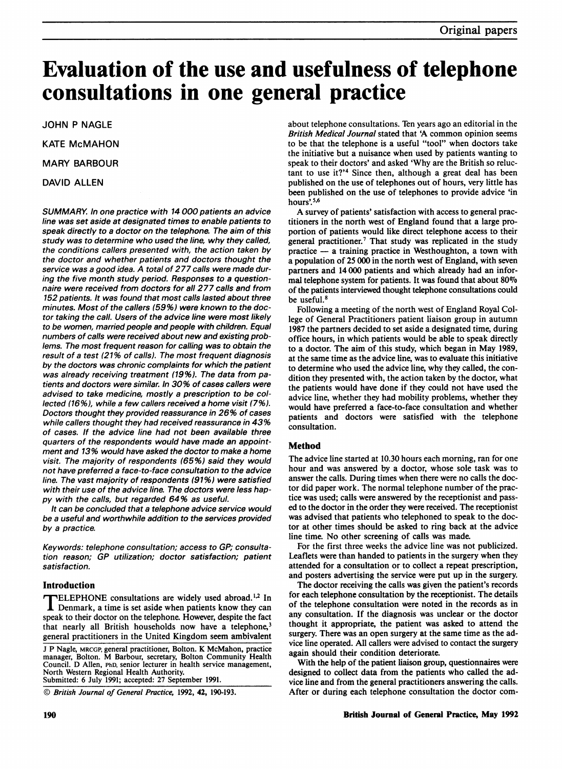# Evaluation of the use and usefulness of telephone consultations in one general practice

JOHN P NAGLE

KATE McMAHON

MARY BARBOUR

DAVID ALLEN

SUMMARY. In one practice with 14 000 patients an advice line was set aside at designated times to enable patients to speak directly to a doctor on the telephone. The aim of this study was to determine who used the line, why they called, the conditions callers presented with, the action taken by the doctor and whether patients and doctors thought the service was a good idea. A total of 277 calls were made during the five month study period. Responses to a questionnaire were received from doctors for all 277 calls and from 152 patients. It was found that most calls lasted about three minutes. Most of the callers (59%) were known to the doctor taking the call. Users of the advice line were most likely to be women, married people and people with children. Equal numbers of calls were received about new and existing problems. The most frequent reason for calling was to obtain the result of a test (21% of calls). The most frequent diagnosis by the doctors was chronic complaints for which the patient was already receiving treatment (19%). The data from patients and doctors were similar. In 30% of cases callers were advised to take medicine, mostly a prescription to be collected (16%), while a few callers received a home visit (7%). Doctors thought they provided reassurance in 26% of cases while callers thought they had received reassurance in 43% of cases. If the advice line had not been available three quarters of the respondents would have made an appointment and 13% would have asked the doctor to make a home visit. The majority of respondents (65%) said they would not have preferred a face-to-face consultation to the advice line. The vast majority of respondents (91%) were satisfied with their use of the advice line. The doctors were less happy with the calls, but regarded 64% as useful.

It can be concluded that a telephone advice service would be a useful and worthwhile addition to the services provided by a practice.

Keywords: telephone consultation; access to GP; consultation reason; GP utilization; doctor satisfaction; patient satisfaction.

## Introduction

**ELEPHONE** consultations are widely used abroad.<sup>1,2</sup> In  $\blacksquare$  Denmark, a time is set aside when patients know they can speak to their doctor on the telephone. However, despite the fact that nearly all British households now have a telephone,<sup>3</sup> general practitioners in the United Kingdom seem ambivalent

<sup>J</sup> P Nagle, MRCGP, general practitioner, Bolton. K McMahon, practice manager, Bolton. M Barbour, secretary, Bolton Community Health Council. D Allen, PhD, senior lecturer in health service management, North Western Regional Health Authority. Submitted: 6 July 1991; accepted: 27 September 1991.

© British Journal of General Practice, 1992, 42, 190-193.

about telephone consultations. Ten years ago an editorial in the British Medical Journal stated that 'A common opinion seems to be that the telephone is a useful "tool" when doctors take the initiative but a nuisance when used by patients wanting to speak to their doctors' and asked 'Why are the British so reluctant to use it?'4 Since then, although a great deal has been published on the use of telephones out of hours, very little has been published on the use of telephones to provide advice 'in hours'.<sup>5,6</sup>

A survey of patients' satisfaction with access to general practitioners in the north west of England found that a large proportion of patients would like direct telephone access to their general practitioner.<sup>7</sup> That study was replicated in the study  $practive - a training practice$  in Westhoughton, a town with a population of 25 000 in the north west of England, with seven partners and 14 000 patients and which already had an informal telephone system for patients. It was found that about 80% of the patients interviewed thought telephone consultations could be useful.<sup>8</sup>

Following a meeting of the north west of England Royal College of General Practitioners patient liaison group in autumn 1987 the partners decided to set aside a designated time, during office hours, in which patients would be able to speak directly to a doctor. The aim of this study, which began in May 1989, at the same time as the advice line, was to evaluate this initiative to determine who used the advice line, why they called, the condition they presented with, the action taken by the doctor, what the patients would have done if they could not have used the advice line, whether they had mobility problems, whether they would have preferred a face-to-face consultation and whether patients and doctors were satisfied with the telephone consultation.

## Method

The advice line started at 10.30 hours each morning, ran for one hour and was answered by a doctor, whose sole task was to answer the calls. During times when there were no calls the doctor did paper work. The normal telephone number of the practice was used; calls were answered by the receptionist and passed to the doctor in the order they were received. The receptionist was advised that patients who telephoned to speak to the doctor at other times should be asked to ring back at the advice line time. No other screening of calls was made.

For the first three weeks the advice line was not publicized. Leaflets were than handed to patients in the surgery when they attended for a consultation or to collect a repeat prescription, and posters advertising the service were put up in the surgery.

The doctor receiving the calls was given the patient's records for each telephone consultation by the receptionist. The details of the telephone consultation were noted in the records as in any consultation. If the diagnosis was unclear or the doctor thought it appropriate, the patient was asked to attend the surgery. There was an open surgery at the same time as the advice line operated. All callers were advised to contact the surgery again should their condition deteriorate.

With the help of the patient liaison group, questionnaires were designed to collect data from the patients who called the advice line and from the general practitioners answering the calls. After or during each telephone consultation the doctor com-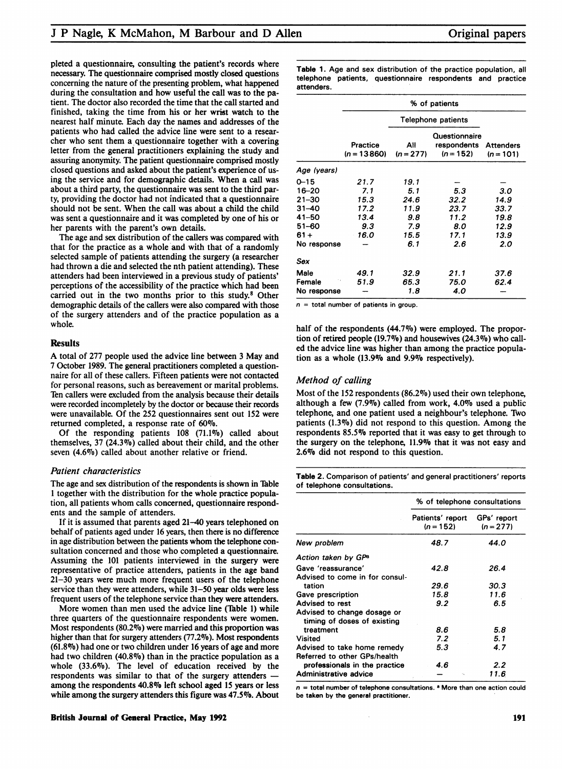pleted a questionnaire, consulting the patient's records where necessary. The questionnaire comprised mostly closed questions concerning the nature of the presenting problem, what happened during the consultation and how useful the call was to the patient. The doctor also recorded the time that the call started and finished, taking the time from his or her wrist watch to the nearest half minute. Each day the names and addresses of the patients who had called the advice line were sent to a researcher who sent them a questionnaire together with a covering letter from the general practitioners explaining the study and assuring anonymity. The patient questionnaire comprised mostly closed questions and asked about the patient's experience of using the service and for demographic details. When a call was about a third party, the questionnaire was sent to the third party, providing the doctor had not indicated that a questionnaire should not be sent. When the call was about a child the child was sent a questionnaire and it was completed by one of his or her parents with the parent's own details.

The age and sex distribution of the callers was compared with that for the practice as a whole'and with that of a randomly selected sample of patients attending the surgery (a researcher had thrown a die and selected the nth patient attending). These attenders had been interviewed in a previous study of patients' perceptions of the accessibility of the practice which had been carried out in the two months prior to this study.8 Other demographic details of the callers were also compared with those of the surgery attenders and of the practice population as a whole.

#### **Results**

A total of <sup>277</sup> people used the advice line between <sup>3</sup> May and 7 October 1989. The general practitioners completed a questionnaire for all of these callers. Fifteen patients were not contacted for personal reasons, such as bereavement or marital problems. Ten callers were excluded from the analysis because their details were recorded incompletely by the doctor or because their records were unavailable. Of the 252 questionnaires sent out 152 were returned completed, a response rate of 60%.

Of the responding patients 108 (71.1%) called about themselves, 37 (24.3%) called about their child, and the other seven (4.6%) called about another relative or friend.

#### Patient characteristics

The age and sex distribution of the respondents is shown in Table <sup>1</sup> together with the distribution for the whole practice population, all patients whom calls concerned, questionnaire respondents and the sample of attenders.

If it is assumed that parents aged 21-40 years telephoned on behalf of patients aged under 16 years, then there is no difference in age distribution between the patients whom the telephone consultation concerned and those who completed a questionnaire. Assuming the 101 patients interviewed in the surgery were representative of practice attenders, patients in the age band 21-30 years were much more frequent users of the telephone service than they were attenders, while 31-50 year olds were less frequent users of the telephone service than they were attenders.

More women than men used the advice line (Table 1) while three quarters of the questionnaire respondents were women. Most respondents  $(80.2\%)$  were married and this proportion was higher than that for surgery attenders (77.2%). Most respondents (61.8%o) had one or two children under 16 years of age and more had two children (40.8%) than in the practice population as a whole  $(33.6\%)$ . The level of education received by the respondents was similar to that of the surgery attenders among the respondents 40.8% left school aged <sup>15</sup> years or less while among the surgery attenders this figure was 47.5%. About Table 1. Age and sex distribution of the practice population, all telephone patients, questionnaire respondents and practice attenders.

|             | % of patients             |                    |                                             |                                 |
|-------------|---------------------------|--------------------|---------------------------------------------|---------------------------------|
|             | Telephone patients        |                    |                                             |                                 |
|             | Practice<br>$(n = 13860)$ | All<br>$(n = 277)$ | Questionnaire<br>respondents<br>$(n = 152)$ | <b>Attenders</b><br>$(n = 101)$ |
| Age (years) |                           |                    |                                             |                                 |
| $0 - 15$    | 21.7                      | 19.1               |                                             |                                 |
| 16–20       | 7.1                       | 5.1                | 5.3                                         | 3.0                             |
| 21-30       | 15.3                      | 24.6               | 32.2                                        | 14.9                            |
| $31 - 40$   | 17.2                      | 11.9               | 23.7                                        | 33.7                            |
| $41 - 50$   | 13.4                      | 9.8                | 11.2                                        | 19.8                            |
| $51 - 60$   | 9.3                       | 7.9                | 8.0                                         | 12.9                            |
| $61 +$      | 16.0                      | 15.5               | 17.1                                        | 13.9                            |
| No response |                           | 6.1                | 2.6                                         | 2.0                             |
| Sex         |                           |                    |                                             |                                 |
| Male        | 49.1                      | 32.9               | 21.1                                        | 37.6                            |
| Female      | 51.9                      | 65.3               | 75.0                                        | 62.4                            |
| No response |                           | 1.8                | 4.0                                         |                                 |

 $n =$  total number of patients in group.

half of the respondents (44.7%) were employed. The proportion of retired people (19.7%) and housewives (24.3%) who called the advice line was higher than among the practice population as a whole (13.9% and 9.9% respectively).

#### Method of calling

Most of the 152 respondents  $(86.2\%)$  used their own telephone, although a few (7.9%) called from work, 4.0% used a public telephone, and one patient used a neighbour's telephone. TWo patients (1.3%) did not respond to this question. Among the respondents 85.5% reported that it was easy to get through to the surgery on the telephone, 11.9% that it was not easy and 2.6% did not respond to this question.

Table 2. Comparison of patients' and general practitioners' reports of telephone consultations.

|                                                            | % of telephone consultations    |                            |  |
|------------------------------------------------------------|---------------------------------|----------------------------|--|
|                                                            | Patients' report<br>$(n = 152)$ | GPs' report<br>$(n = 277)$ |  |
| New problem                                                | 48.7                            | 44.0                       |  |
| Action taken by GP <sup>a</sup>                            |                                 |                            |  |
| Gave 'reassurance'                                         | 42.8                            | 26.4                       |  |
| Advised to come in for consul-                             |                                 |                            |  |
| tation                                                     | 29.6                            | 30.3                       |  |
| Gave prescription                                          | 15.8                            | 11.6                       |  |
| Advised to rest                                            | 9.2                             | 6.5                        |  |
| Advised to change dosage or<br>timing of doses of existing |                                 |                            |  |
| treatment                                                  | 8.6                             | 5.8                        |  |
| Visited                                                    | 7.2                             | 5.1                        |  |
| Advised to take home remedy                                | 5.3                             | 4.7                        |  |
| Referred to other GPs/health                               |                                 |                            |  |
| professionals in the practice                              | 4.6                             | 2.2                        |  |
| Administrative advice                                      | ÷.                              | 11.6                       |  |

 $n =$  total number of telephone consultations. <sup>a</sup> More than one action could be taken by the general practitioner.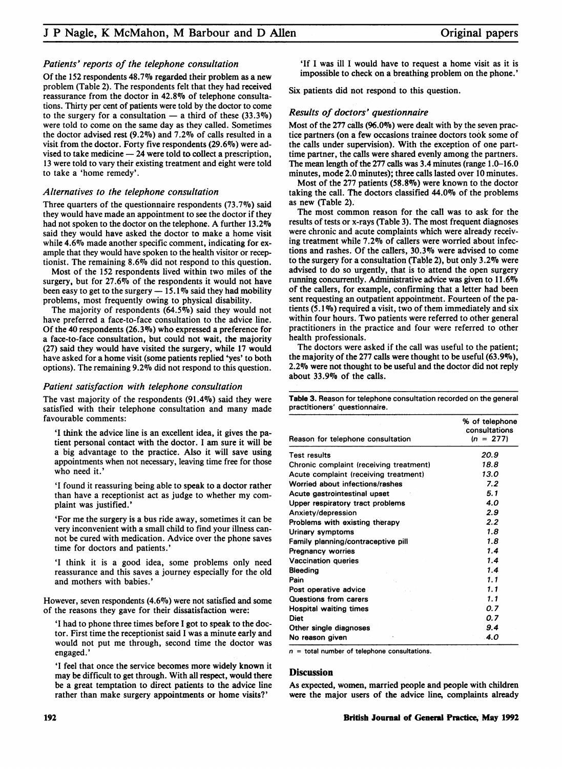#### Patients' reports of the telephone consultation

Of the 152 respondents 48.7% regarded their problem as a new problem (Table 2). The respondents felt that they had received reassurance from the doctor in 42.8% of telephone consultations. Thirty per cent of patients were told by the doctor to come to the surgery for a consultation  $-$  a third of these (33.3%) were told to come on the same day as they called. Sometimes the doctor advised rest  $(9.2\%)$  and 7.2% of calls resulted in a visit from the doctor. Forty five respondents (29.6%) were advised to take medicine  $-24$  were told to collect a prescription, 13 were told to vary their existing treatment and eight were told to take a 'home remedy'.

#### Alternatives to the telephone consultation

Three quarters of the questionnaire respondents (73.7%) said they would have made an appointment to see the doctor if they had not spoken to the doctor on the telephone. A further 13.2% said they would have asked the doctor to make a home visit while 4.6% made another specific comment, indicating for example that they would have spoken to the health visitor or receptionist. The remaining  $8.6\%$  did not respond to this question.

Most of the 152 respondents lived within two miles of the surgery, but for 27.6% of the respondents it would not have been easy to get to the surgery  $-15.1\%$  said they had mobility problems, most frequently owing to physical disability.

The majority of respondents  $(64.5\%)$  said they would not have preferred a face-to-face consultation to the advice line. Of the 40 respondents (26.3%) who expressed a preference for a face-to-face consultation, but could not wait, the majority (27) said they would have visited the surgery, While 17 would have asked for a home visit (some patients replied 'yes' to both options). The remaining 9.2% did not respond to this question.

#### Patient satisfaction with telephone consultation

The vast majority of the respondents  $(91.4\%)$  said they were satisfied with their telephone consultation and many made favourable comments:

'I think the advice line is an excellent idea, it gives the patient personal contact with the doctor. <sup>I</sup> am sure it will be a big advantage to the practice. Also it will save using appointments when not necessary, leaving time free for those who need it.'

'I found it reassuring being able to speak to a doctor rather than have a receptionist act as judge to whether my complaint was justified.'

'For me the surgery is a bus ride away, sometimes it can be very inconvenient with a small child to find your illness cannot be cured with medication. Advice over the phone saves time for doctors and patients.'

'I think it is a good idea, some problems only need reassurance and this saves a journey especially for the old and mothers with babies.'

However, seven respondents  $(4.6\%)$  were not satisfied and some of the reasons they gave for their dissatisfaction were:

'I had to phone three times before <sup>I</sup> got to speak to the doctor. First time the receptionist said <sup>I</sup> was a minute early and would not put me through, second time the doctor was engaged.'

'I feel that once the service becomes more widely known it may be difficult to get through. With all respect, would there be a great temptation to direct patients to the advice line rather than make surgery appointments or home visits?'

'If <sup>I</sup> was ill <sup>I</sup> would have to request a home visit as it is impossible to check on a breathing problem on the phone.'

Six patients did not respond to this question.

#### Results of doctors' questionnaire

Most of the  $277$  calls (96.0%) were dealt with by the seven practice partners (on a few occasions trainee doctors took some of the calls under supervision). With the exception of one parttime partner, the calls were shared evenly among the partners. The mean length of the 277 calls was 3.4 minutes (range 1.0-16.0 minutes, mode 2.0 minutes), three calls lasted over 10 minutes.

Most of the 277 patients (58.8%) were known to the doctor taking the call. The doctors classified 44.0% of the problems as new (Table 2).

The most common reason for the call was to ask for the results of tests or x-rays (Table 3). The most frequent diagnoses were chronic and acute complaints which were already receiving treatment while 7.2% of callers were worried about infections and rashes. Of the callers, 30.3% were advised to come to the surgery for a consultation (Table 2), but only  $3.2\%$  were advised to do so urgently, that is to' attend the open surgery running concurrently. Administrative advice was given to  $11.6\%$ of the callers, for example, confirming that a letter had been sent requesting an outpatient appointment. Fourteen of the patients (5.1 Vo) required a visit, two of them immediately and six within four hours. Two patients were referred to other general practitioners in the practice and four were referred to other health professionals.

The doctors were asked if the call was useful to the patient; the majority of the  $277$  calls were thought to be useful (63.9%), 2.2%o were not thought to be useful and the doctor did not reply about 33.9% of the calls.

Table 3. Reason for telephone consultation recorded on the general practitioners' questionnaire.

| Reason for telephone consultation       | % of telephone<br>consultations<br>$(n = 277)$ |
|-----------------------------------------|------------------------------------------------|
| <b>Test results</b>                     | 20.9                                           |
| Chronic complaint (receiving treatment) | 18.8                                           |
| Acute complaint (receiving treatment)   | 13.0                                           |
| Worried about infections/rashes         | 7.2                                            |
| Acute gastrointestinal upset            | 5.1                                            |
| Upper respiratory tract problems        | 4.0                                            |
| Anxiety/depression                      | 2.9                                            |
| Problems with existing therapy          | 2.2                                            |
| Urinary symptoms                        | 1.8                                            |
| Family planning/contraceptive pill      | 1.8                                            |
| <b>Pregnancy worries</b>                | 1.4                                            |
| Vaccination queries                     | 1.4                                            |
| Bleeding                                | 1.4                                            |
| Pain                                    | 1.1                                            |
| Post operative advice                   | 1.1                                            |
| Questions from carers                   | 1.1                                            |
| <b>Hospital waiting times</b>           | 0.7                                            |
| <b>Diet</b>                             | 0.7                                            |
| Other single diagnoses                  | 9.4                                            |
| No reason given                         | .4.0                                           |

 $n =$  total number of telephone consultations.

#### **Discussion**

As expected, women, married people and people with children were the major users of the advice line, complaints already